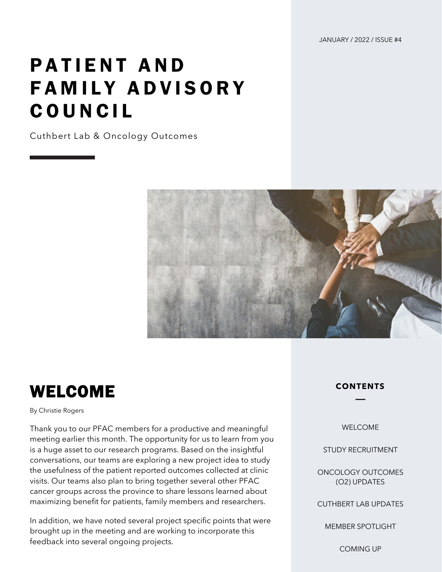JANUARY / 2022 / ISSUE #4

# PATIENT AND FAMILY ADVISORY COUNCIL

Cuthbert Lab & Oncology Outcomes



#### WELCOME

By Christie Rogers

Thank you to our PFAC members for a productive and meaningful meeting earlier this month. The opportunity for us to learn from you is a huge asset to our research programs. Based on the insightful conversations, our teams are exploring a new project idea to study the usefulness of the patient reported outcomes collected at clinic visits. Our teams also plan to bring together several other PFAC cancer groups across the province to share lessons learned about maximizing benefit for patients, family members and researchers.

In addition, we have noted several project specific points that were brought up in the meeting and are working to incorporate this feedback into several ongoing projects.

**CONTENTS**

WELCOME

STUDY RECRUITMENT

ONCOLOGY OUTCOMES (O2) UPDATES

CUTHBERT LAB UPDATES

MEMBER SPOTLIGHT

COMING UP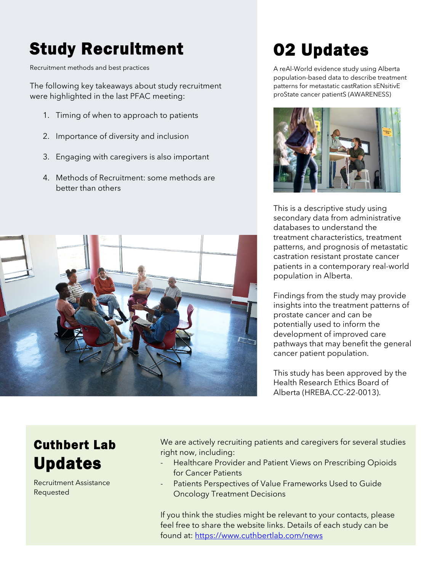## Study Recruitment

Recruitment methods and best practices

The following key takeaways about study recruitment were highlighted in the last PFAC meeting:

- 1. Timing of when to approach to patients
- 2. Importance of diversity and inclusion
- 3. Engaging with caregivers is also important
- 4. Methods of Recruitment: some methods are better than others



### O2 Updates

A reAl-World evidence study using Alberta population-based data to describe treatment patterns for metastatic castRation sENsitivE proState cancer patientS (AWARENESS)



This is a descriptive study using secondary data from administrative databases to understand the treatment characteristics, treatment patterns, and prognosis of metastatic castration resistant prostate cancer patients in a contemporary real-world population in Alberta.

Findings from the study may provide insights into the treatment patterns of prostate cancer and can be potentially used to inform the development of improved care pathways that may benefit the general cancer patient population.

This study has been approved by the Health Research Ethics Board of Alberta (HREBA.CC-22-0013).

#### Cuthbert Lab Updates

Recruitment Assistance Requested

We are actively recruiting patients and caregivers for several studies right now, including:

- Healthcare Provider and Patient Views on Prescribing Opioids for Cancer Patients
- Patients Perspectives of Value Frameworks Used to Guide Oncology Treatment Decisions

If you think the studies might be relevant to your contacts, please feel free to share the website links. Details of each study can be found at: <https://www.cuthbertlab.com/news>